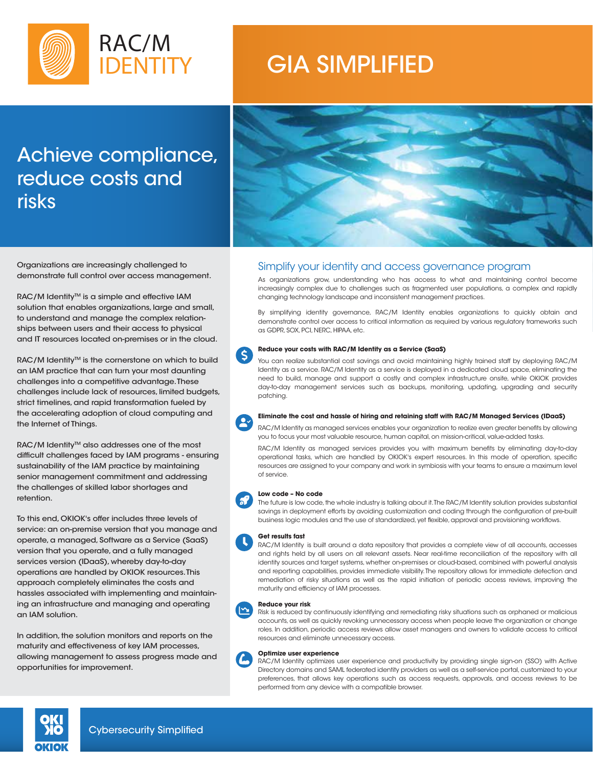

# GIA SIMPLIFIED

# Achieve compliance, reduce costs and risks



Organizations are increasingly challenged to demonstrate full control over access management.

RAC/M Identity™ is a simple and effective IAM solution that enables organizations, large and small, to understand and manage the complex relationships between users and their access to physical and IT resources located on-premises or in the cloud.

RAC/M Identity<sup>™</sup> is the cornerstone on which to build an IAM practice that can turn your most daunting challenges into a competitive advantage. These challenges include lack of resources, limited budgets, strict timelines, and rapid transformation fueled by the accelerating adoption of cloud computing and the Internet of Things.

RAC/M Identity™ also addresses one of the most difficult challenges faced by IAM programs - ensuring sustainability of the IAM practice by maintaining senior management commitment and addressing the challenges of skilled labor shortages and retention.

To this end, OKIOK's offer includes three levels of service: an on-premise version that you manage and operate, a managed, Software as a Service (SaaS) version that you operate, and a fully managed services version (IDaaS), whereby day-to-day operations are handled by OKIOK resources. This approach completely eliminates the costs and hassles associated with implementing and maintaining an infrastructure and managing and operating an IAM solution.

In addition, the solution monitors and reports on the maturity and effectiveness of key IAM processes, allowing management to assess progress made and opportunities for improvement.

### Simplify your identity and access governance program

As organizations grow, understanding who has access to what and maintaining control become increasingly complex due to challenges such as fragmented user populations, a complex and rapidly changing technology landscape and inconsistent management practices.

By simplifying identity governance, RAC/M Identity enables organizations to quickly obtain and demonstrate control over access to critical information as required by various regulatory frameworks such as GDPR, SOX, PCI, NERC, HIPAA, etc.

#### **Reduce your costs with RAC/M Identity as a Service (SaaS)**  $\mathsf{(S)}$

You can realize substantial cost savings and avoid maintaining highly trained staff by deploying RAC/M Identity as a service. RAC/M Identity as a service is deployed in a dedicated cloud space, eliminating the need to build, manage and support a costly and complex infrastructure onsite, while OKIOK provides day-to-day management services such as backups, monitoring, updating, upgrading and security patching.



#### **Eliminate the cost and hassle of hiring and retaining staff with RAC/M Managed Services (IDaaS)**

RAC/M Identity as managed services enables your organization to realize even greater benefits by allowing you to focus your most valuable resource, human capital, on mission-critical, value-added tasks.

RAC/M Identity as managed services provides you with maximum benefits by eliminating day-to-day operational tasks, which are handled by OKIOK's expert resources. In this mode of operation, specific resources are assigned to your company and work in symbiosis with your teams to ensure a maximum level of service.

#### **Low code – No code**

The future is low code, the whole industry is talking about it. The RAC/M Identity solution provides substantial savings in deployment efforts by avoiding customization and coding through the configuration of pre-built business logic modules and the use of standardized, yet flexible, approval and provisioning workflows.

#### **Get results fast**

RAC/M Identity is built around a data repository that provides a complete view of all accounts, accesses and rights held by all users on all relevant assets. Near real-time reconciliation of the repository with all identity sources and target systems, whether on-premises or cloud-based, combined with powerful analysis and reporting capabilities, provides immediate visibility. The repository allows for immediate detection and remediation of risky situations as well as the rapid initiation of periodic access reviews, improving the maturity and efficiency of IAM processes.

#### **Reduce your risk**

Risk is reduced by continuously identifying and remediating risky situations such as orphaned or malicious accounts, as well as quickly revoking unnecessary access when people leave the organization or change roles. In addition, periodic access reviews allow asset managers and owners to validate access to critical resources and eliminate unnecessary access.

#### **Optimize user experience**

RAC/M Identity optimizes user experience and productivity by providing single sign-on (SSO) with Active Directory domains and SAML federated identity providers as well as a self-service portal, customized to your preferences, that allows key operations such as access requests, approvals, and access reviews to be performed from any device with a compatible browser.

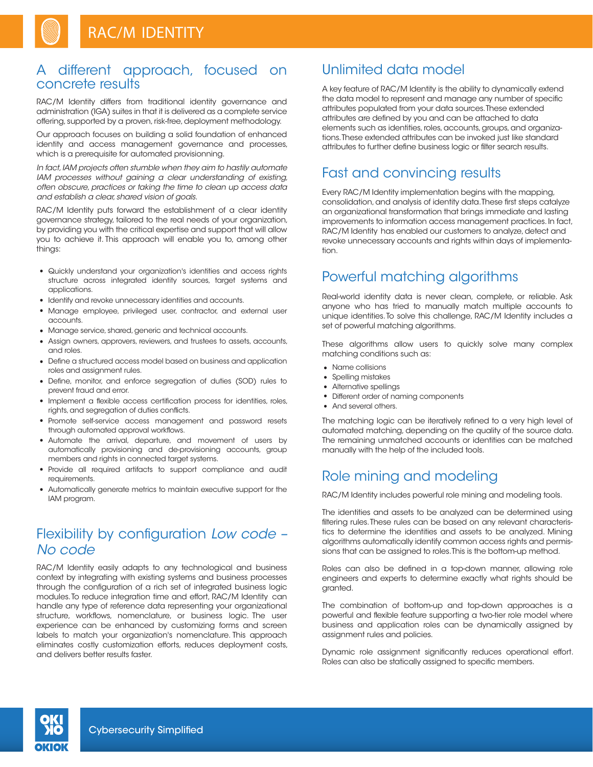### A different approach, focused on concrete results

RAC/M Identity differs from traditional identity governance and administration (IGA) suites in that it is delivered as a complete service offering, supported by a proven, risk-free, deployment methodology.

Our approach focuses on building a solid foundation of enhanced identity and access management governance and processes, which is a prerequisite for automated provisionning.

*In fact, IAM projects often stumble when they aim to hastily automate IAM processes without gaining a clear understanding of existing, often obscure, practices or taking the time to clean up access data and establish a clear, shared vision of goals.*

RAC/M Identity puts forward the establishment of a clear identity governance strategy, tailored to the real needs of your organization, by providing you with the critical expertise and support that will allow you to achieve it. This approach will enable you to, among other things:

- Quickly understand your organization's identities and access rights structure across integrated identity sources, target systems and applications.
- Identify and revoke unnecessary identities and accounts.
- Manage employee, privileged user, contractor, and external user accounts.
- Manage service, shared, generic and technical accounts.
- Assign owners, approvers, reviewers, and trustees to assets, accounts, and roles.
- Define a structured access model based on business and application roles and assignment rules.
- Define, monitor, and enforce segregation of duties (SOD) rules to prevent fraud and error.
- Implement a flexible access certification process for identities, roles, rights, and segregation of duties conflicts.
- Promote self-service access management and password resets through automated approval workflows.
- Automate the arrival, departure, and movement of users by automatically provisioning and de-provisioning accounts, group members and rights in connected target systems.
- Provide all required artifacts to support compliance and audit requirements.
- Automatically generate metrics to maintain executive support for the IAM program.

## Flexibility by configuration *Low code – No code*

RAC/M Identity easily adapts to any technological and business context by integrating with existing systems and business processes through the configuration of a rich set of integrated business logic modules. To reduce integration time and effort, RAC/M Identity can handle any type of reference data representing your organizational structure, workflows, nomenclature, or business logic. The user experience can be enhanced by customizing forms and screen labels to match your organization's nomenclature. This approach eliminates costly customization efforts, reduces deployment costs, and delivers better results faster.

### Unlimited data model

A key feature of RAC/M Identity is the ability to dynamically extend the data model to represent and manage any number of specific attributes populated from your data sources. These extended attributes are defined by you and can be attached to data elements such as identities, roles, accounts, groups, and organizations. These extended attributes can be invoked just like standard attributes to further define business logic or filter search results.

### Fast and convincing results

Every RAC/M Identity implementation begins with the mapping, consolidation, and analysis of identity data. These first steps catalyze an organizational transformation that brings immediate and lasting improvements to information access management practices. In fact, RAC/M Identity has enabled our customers to analyze, detect and revoke unnecessary accounts and rights within days of implementation.

### Powerful matching algorithms

Real-world identity data is never clean, complete, or reliable. Ask anyone who has tried to manually match multiple accounts to unique identities. To solve this challenge, RAC/M Identity includes a set of powerful matching algorithms.

These algorithms allow users to quickly solve many complex matching conditions such as:

- Name collisions
- Spelling mistakes
- Alternative spellings
- Different order of naming components
- And several others.

The matching logic can be iteratively refined to a very high level of automated matching, depending on the quality of the source data. The remaining unmatched accounts or identities can be matched manually with the help of the included tools.

## Role mining and modeling

RAC/M Identity includes powerful role mining and modeling tools.

The identities and assets to be analyzed can be determined using filtering rules. These rules can be based on any relevant characteristics to determine the identities and assets to be analyzed. Mining algorithms automatically identify common access rights and permissions that can be assigned to roles. This is the bottom-up method.

Roles can also be defined in a top-down manner, allowing role engineers and experts to determine exactly what rights should be granted.

The combination of bottom-up and top-down approaches is a powerful and flexible feature supporting a two-tier role model where business and application roles can be dynamically assigned by assignment rules and policies.

Dynamic role assignment significantly reduces operational effort. Roles can also be statically assigned to specific members.

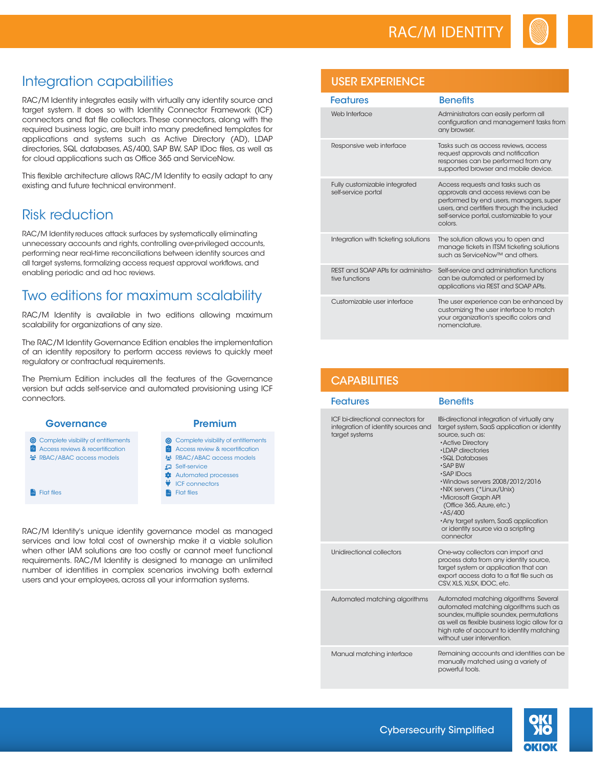

# Integration capabilities

RAC/M Identity integrates easily with virtually any identity source and target system. It does so with Identity Connector Framework (ICF) connectors and flat file collectors. These connectors, along with the required business logic, are built into many predefined templates for applications and systems such as Active Directory (AD), LDAP directories, SQL databases, AS/400, SAP BW, SAP IDoc files, as well as for cloud applications such as Office 365 and ServiceNow.

This flexible architecture allows RAC/M Identity to easily adapt to any existing and future technical environment.

# Risk reduction

RAC/M Identity reduces attack surfaces by systematically eliminating unnecessary accounts and rights, controlling over-privileged accounts, performing near real-time reconciliations between identity sources and all target systems, formalizing access request approval workflows, and enabling periodic and ad hoc reviews.

# Two editions for maximum scalability

RAC/M Identity is available in two editions allowing maximum scalability for organizations of any size.

The RAC/M Identity Governance Edition enables the implementation of an identity repository to perform access reviews to quickly meet regulatory or contractual requirements.

The Premium Edition includes all the features of the Governance version but adds self-service and automated provisioning using ICF connectors.

#### **Governance <sup>O</sup>** Complete visibility of entitlements

**<sup>2</sup>** Access reviews & recertification **RBAC/ABAC access models** 

**Flat files** 

#### Premium

- **6** Complete visibility of entitlements
- **2** Access review & recertification
- **RBAC/ABAC access models**
- Self-service
- **Automated processes V** ICF connectors
- **R**<sub>d</sub> Flat files

RAC/M Identity's unique identity governance model as managed services and low total cost of ownership make it a viable solution when other IAM solutions are too costly or cannot meet functional requirements. RAC/M Identity is designed to manage an unlimited number of identities in complex scenarios involving both external users and your employees, across all your information systems.

### USER EXPERIENCE

| <b>Features</b>                                      | <b>Benefits</b>                                                                                                                                                                                                           |
|------------------------------------------------------|---------------------------------------------------------------------------------------------------------------------------------------------------------------------------------------------------------------------------|
| Web Interface                                        | Administrators can easily perform all<br>configuration and management tasks from<br>any browser.                                                                                                                          |
| Responsive web interface                             | Tasks such as access reviews, access<br>request approvals and notification<br>responses can be performed from any<br>supported browser and mobile device.                                                                 |
| Fully customizable integrated<br>self-service portal | Access requests and tasks such as<br>approvals and access reviews can be<br>performed by end users, managers, super<br>users, and certifiers through the included<br>self-service portal, customizable to your<br>colors. |
| Integration with ticketing solutions                 | The solution allows you to open and<br>manage tickets in ITSM ticketing solutions<br>such as ServiceNow™ and others.                                                                                                      |
| REST and SOAP APIs for administra-<br>tive functions | Self-service and administration functions<br>can be automated or performed by<br>applications via REST and SOAP APIs.                                                                                                     |
| Customizable user interface                          | The user experience can be enhanced by<br>customizing the user interface to match<br>your organization's specific colors and<br>nomenclature.                                                                             |

### **CAPABILITIES**

| <b>Features</b>                                                                                   | <b>Benefits</b>                                                                                                                                                                                                                                                                                                                                                                                                                                              |
|---------------------------------------------------------------------------------------------------|--------------------------------------------------------------------------------------------------------------------------------------------------------------------------------------------------------------------------------------------------------------------------------------------------------------------------------------------------------------------------------------------------------------------------------------------------------------|
| <b>ICF</b> bi-directional connectors for<br>integration of identity sources and<br>target systems | <b>IBi-directional integration of virtually any</b><br>target system, SaaS application or identity<br>source, such as:<br><b>Active Directory</b><br>•LDAP directories<br>•SQL Databases<br>•SAP BW<br>$\cdot$ SAP IDocs<br>.Windows servers 2008/2012/2016<br>·NIX servers (*Linux/Unix)<br>•Microsoft Graph API<br>(Office 365, Azure, etc.)<br>$\cdot$ AS/400<br>• Any target system, SaaS application<br>or identity source via a scripting<br>connector |
| Unidirectional collectors                                                                         | One-way collectors can import and<br>process data from any identity source,<br>target system or application that can<br>export access data to a flat file such as<br>CSV. XLS. XLSX. IDOC. etc.                                                                                                                                                                                                                                                              |
| Automated matching algorithms                                                                     | Automated matching algorithms Several<br>automated matching algorithms such as<br>soundex, multiple soundex, permutations<br>as well as flexible business logic allow for a<br>high rate of account to identity matching<br>without user intervention.                                                                                                                                                                                                       |
| Manual matching interface                                                                         | Remaining accounts and identities can be<br>manually matched using a variety of<br>powerful tools.                                                                                                                                                                                                                                                                                                                                                           |